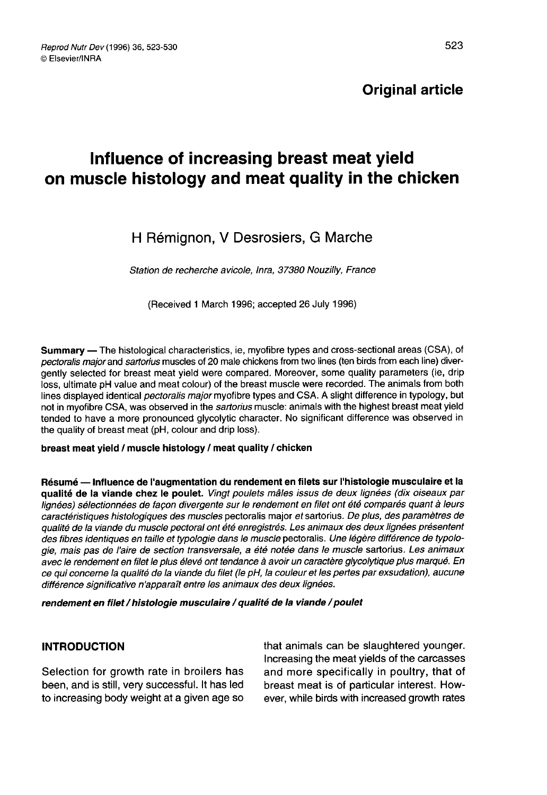# Influence of increasing breast meat yield on muscle histology and meat quality in the chicken

# H Rémignon, V Desrosiers, G Marche

Station de recherche avicole, Inra, 37380 Nouzilly, France

(Received 1 March 1996; accepted 26 July 1996)

Summary ― The histological characteristics, ie, myofibre types and cross-sectional areas (CSA), of pectoralis major and sartorius muscles of 20 male chickens from two lines (ten birds from each line) divergently selected for breast meat yield were compared. Moreover, some quality parameters (ie, drip loss, ultimate pH value and meat colour) of the breast muscle were recorded. The animals from both lines displayed identical *pectoralis major* myofibre types and CSA. A slight difference in typology, but not in myofibre CSA, was observed in the sartorius muscle: animals with the highest breast meat yield tended to have a more pronounced glycolytic character. No significant difference was observed in the quality of breast meat (pH, colour and drip loss).

#### breast meat yield / muscle histology / meat quality / chicken

Résumé ― Influence de l'augmentation du rendement en filets sur l'histologie musculaire et la qualité de la viande chez le poulet. Vingt poulets mâles issus de deux lignées (dix oiseaux par lignées) sélectionnées de façon divergente sur le rendement en filet ont été comparés quant à leurs caractéristiques histologiques des muscles pectoralis major et sartorius. De plus, des paramètres de qualité de la viande du muscle pectoral ont été enregistrés. Les animaux des deux lignées présentent des fibres identiques en taille et typologie dans le muscle pectoralis. Une légère différence de typologie, mais pas de l'aire de section transversale, a été notée dans le muscle sartorius. Les animaux avec le rendement en filet le plus élevé ont tendance à avoir un caractère glycolytique plus marqué. En ce qui concerne la qualité de la viande du filet (le pH, la couleur et les pertes par exsudation), aucune différence significative n'apparaît entre les animaux des deux lignées.

rendement en filet / histologie musculaire / qualité de la viande / poulet

# INTRODUCTION

Selection for growth rate in broilers has been, and is still, very successful. It has led to increasing body weight at a given age so that animals can be slaughtered younger. Increasing the meat yields of the carcasses and more specifically in poultry, that of breast meat is of particular interest. However, while birds with increased growth rates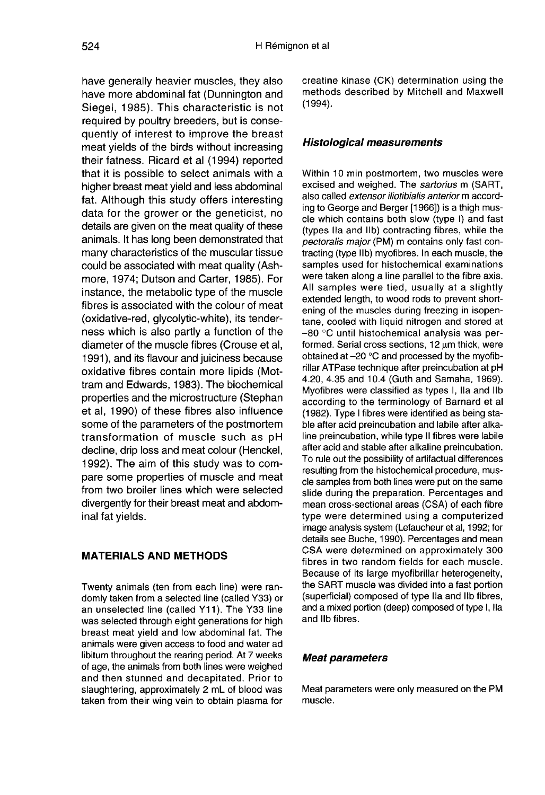have generally heavier muscles, they also have more abdominal fat (Dunnington and Siegel, 1985). This characteristic is not required by poultry breeders, but is consequently of interest to improve the breast meat yields of the birds without increasing their fatness. Ricard et al (1994) reported that it is possible to select animals with a higher breast meat yield and less abdominal fat. Although this study offers interesting data for the grower or the geneticist, no details are given on the meat quality of these animals. It has long been demonstrated that many characteristics of the muscular tissue could be associated with meat quality (Ash more, 1974; Dutson and Carter, 1985). For instance, the metabolic type of the muscle fibres is associated with the colour of meat (oxidative-red, glycolytic-white), its tenderness which is also partly a function of the diameter of the muscle fibres (Crouse et al, 1991), and its flavour and juiciness because oxidative fibres contain more lipids (Mottram and Edwards, 1983). The biochemical properties and the microstructure (Stephan et al, 1990) of these fibres also influence some of the parameters of the postmortem transformation of muscle such as pH decline, drip loss and meat colour (Henckel, 1992). The aim of this study was to compare some properties of muscle and meat from two broiler lines which were selected divergently for their breast meat and abdominal fat yields.

# MATERIALS AND METHODS

Twenty animals (ten from each line) were randomly taken from a selected line (called Y33) or an unselected line (called Y11). The Y33 line was selected through eight generations for high breast meat yield and low abdominal fat. The animals were given access to food and water ad libitum throughout the rearing period. At 7 weeks of age, the animals from both lines were weighed and then stunned and decapitated. Prior to slaughtering, approximately 2 mL of blood was taken from their wing vein to obtain plasma for

creatine kinase (CK) determination using the methods described by Mitchell and Maxwell (1994).

#### Histological measurements

Within 10 min postmortem, two muscles were excised and weighed. The sartorius m (SART, also called extensor iliotibialis anterior m according to George and Berger [1966]) is a thigh muscle which contains both slow (type I) and fast (types Ila and lib) contracting fibres, while the pectoralis major (PM) m contains only fast contracting (type lib) myofibres. In each muscle, the samples used for histochemical examinations were taken along a line parallel to the fibre axis. All samples were tied, usually at a slightly extended length, to wood rods to prevent shortening of the muscles during freezing in isopentane, cooled with liquid nitrogen and stored at - 80 °C until histochemical analysis was performed. Serial cross sections,  $12 \mu m$  thick, were obtained at-20 °C and processed by the myofibrillar ATPase technique after preincubation at pH 4.20, 4.35 and 10.4 (Guth and Samaha, 1969). Myofibres were classified as types I, Ila and Ilb according to the terminology of Barnard et al (1982). Type I fibres were identified as being stable after acid preincubation and labile after alkaline preincubation, while type II fibres were labile after acid and stable after alkaline preincubation. To rule out the possibility of artifactual differences resulting from the histochemical procedure, muscle samples from both lines were put on the same slide during the preparation. Percentages and mean cross-sectional areas (CSA) of each fibre type were determined using a computerized image analysis system (Lefaucheur et al, 1992; for details see Buche, 1990). Percentages and mean CSA were determined on approximately 300 fibres in two random fields for each muscle. Because of its large myofibrillar heterogeneity, the SART muscle was divided into a fast portion (superficial) composed of type Ila and Ilb fibres, and a mixed portion (deep) composed of type I, Ila and lib fibres.

#### Meat parameters

Meat parameters were only measured on the PM muscle.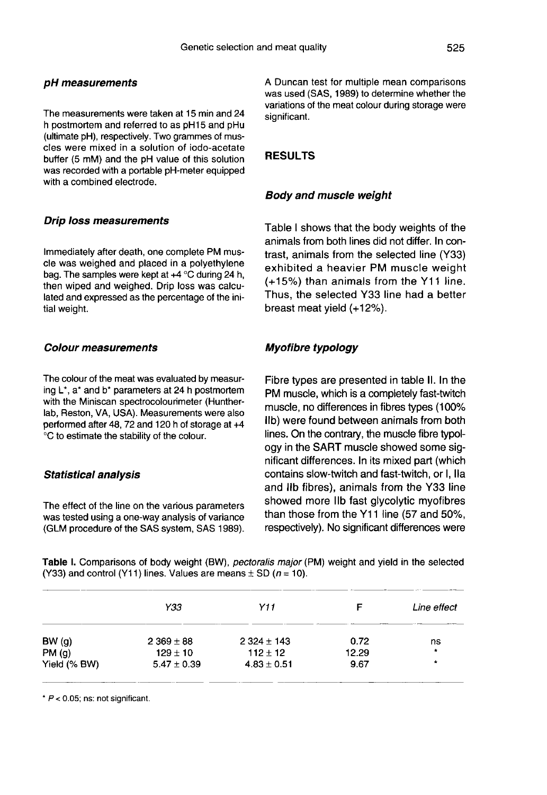#### pH measurements

The measurements were taken at 15 min and 24 h postmortem and referred to as pHl5 and pHu (ultimate pH), respectively. Two grammes of muscles were mixed in a solution of iodo-acetate buffer (5 mM) and the pH value of this solution was recorded with a portable pH-meter equipped with a combined electrode.

#### Drip loss measurements

Immediately after death, one complete PM muscle was weighed and placed in a polyethylene bag. The samples were kept at +4 °C during 24 h, then wiped and weighed. Drip loss was calculated and expressed as the percentage of the initial weight.

# Colour measurements

The colour of the meat was evaluated by measuring L\*, a\* and b\* parameters at 24 h postmortem with the Miniscan spectrocolourimeter (Huntherlab, Reston, VA, USA). Measurements were also performed after 48, 72 and 120 h of storage at +4 °C to estimate the stability of the colour.

# Statistical analysis

The effect of the line on the various parameters was tested using a one-way analysis of variance (GLM procedure of the SAS system, SAS 1989). A Duncan test for multiple mean comparisons was used (SAS, 1989) to determine whether the variations of the meat colour during storage were significant.

# RESULTS

# Body and muscle weight

Table I shows that the body weights of the animals from both lines did not differ. In contrast, animals from the selected line (Y33) exhibited a heavier PM muscle weight (+15%) than animals from the Y11 line. Thus, the selected Y33 line had a better breast meat yield (+12%).

# Myofibre typology

Fibre types are presented in table II. In the PM muscle, which is a completely fast-twitch muscle, no differences in fibres types (100% llb) were found between animals from both lines. On the contrary, the muscle fibre typology in the SART muscle showed some significant differences. In its mixed part (which contains slow-twitch and fast-twitch, or I, Ila and lib fibres), animals from the Y33 line showed more Ilb fast glycolytic myofibres than those from the Y11 line (57 and 50%, respectively). No significant differences were

|              | Y33             | Y11             |       | Line effect |
|--------------|-----------------|-----------------|-------|-------------|
| BW(q)        | $2369 \pm 88$   | $2324 \pm 143$  | 0.72  | ns          |
| PM(q)        | $129 \pm 10$    | $112 \pm 12$    | 12.29 | ۰           |
| Yield (% BW) | $5.47 \pm 0.39$ | $4.83 \pm 0.51$ | 9.67  | $\star$     |

Table I. Comparisons of body weight (BW), pectoralis major (PM) weight and vield in the selected (Y33) and control (Y11) lines. Values are means  $\pm$  SD ( $n = 10$ ).

\*  $P$  < 0.05; ns: not significant.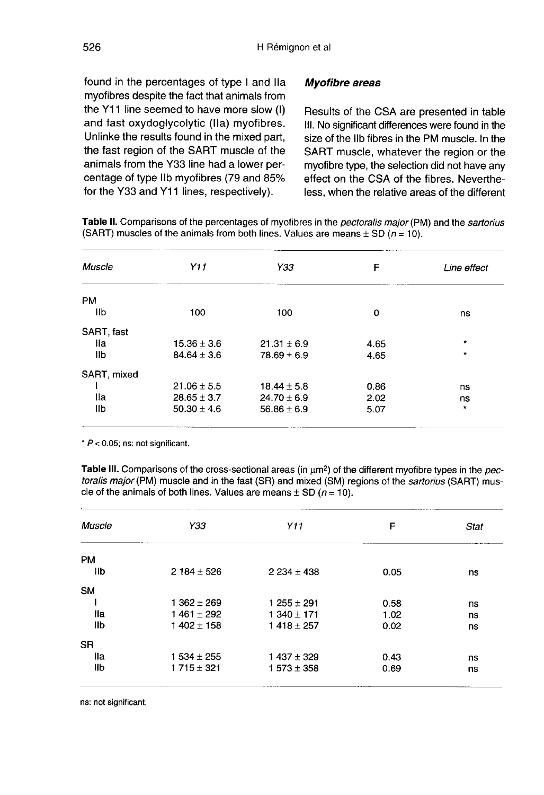found in the percentages of type I and Ila myofibres despite the fact that animals from the Y11 line seemed to have more slow (I) and fast oxydoglycolytic (Ila) myofibres. Unlinke the results found in the mixed part, the fast region of the SART muscle of the animals from the Y33 line had a lower percentage of type lib myofibres (79 and 85% for the Y33 and Y11 lines, respectively).

#### Myofibre areas

Results of the CSA are presented in table Ill. No significant differences were found in the size of the lib fibres in the PM muscle. In the SART muscle, whatever the region or the myofibre type, the selection did not have any effect on the CSA of the fibres. Nevertheless, when the relative areas of the different

Table II. Comparisons of the percentages of myofibres in the *pectoralis major* (PM) and the *sartorius* (SART) muscles of the animals from both lines. Values are means  $\pm$  SD ( $n = 10$ ).

| Muscle      | Y11             | Y33             | F    | Line effect |
|-------------|-----------------|-----------------|------|-------------|
| <b>PM</b>   |                 |                 |      |             |
| Ilb         | 100             | 100             | 0    | ns          |
| SART, fast  |                 |                 |      |             |
| lla         | $15.36 \pm 3.6$ | $21.31 \pm 6.9$ | 4.65 | $\star$     |
| llb         | $84.64 \pm 3.6$ | $78.69 \pm 6.9$ | 4.65 | $\star$     |
| SART, mixed |                 |                 |      |             |
|             | $21.06 \pm 5.5$ | $18.44 \pm 5.8$ | 0.86 | ns          |
| lla         | $28.65 \pm 3.7$ | $24.70 \pm 6.9$ | 2.02 | ns          |
| llb         | $50.30 \pm 4.6$ | $56.86 \pm 6.9$ | 5.07 | $\star$     |

 $* P < 0.05$ ; ns: not significant.

Table III. Comparisons of the cross-sectional areas (in  $\mu$ m<sup>2</sup>) of the different myofibre types in the *pec*toralis major (PM) muscle and in the fast (SR) and mixed (SM) regions of the sartorius (SART) muscle of the animals of both lines. Values are means  $\pm$  SD ( $n = 10$ ).

| Y33            | Y11            | F    | <b>Stat</b> |
|----------------|----------------|------|-------------|
|                |                |      |             |
| $2184 \pm 526$ | $2234 \pm 438$ | 0.05 | ns          |
|                |                |      |             |
| $1362 \pm 269$ | $1255 \pm 291$ | 0.58 | ns          |
| $1461 \pm 292$ | $1340 \pm 171$ | 1.02 | ns          |
| $1402 \pm 158$ | $1418 \pm 257$ | 0.02 | ns          |
|                |                |      |             |
| $1534 \pm 255$ | $1437 \pm 329$ | 0.43 | ns          |
| $1715 \pm 321$ | $1573 \pm 358$ | 0.69 | ns          |
|                |                |      |             |

ns: not significant.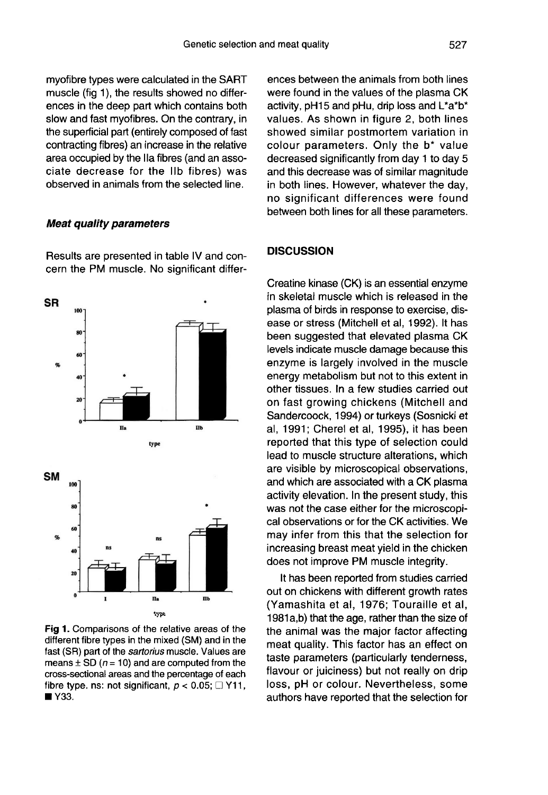myofibre types were calculated in the SART muscle (fig 1), the results showed no differences in the deep part which contains both slow and fast myofibres. On the contrary, in the superficial part (entirely composed of fast contracting fibres) an increase in the relative area occupied by the IIa fibres (and an associate decrease for the lib fibres) was observed in animals from the selected line.

#### Meat quality parameters

Results are presented in table IV and concern the PM muscle. No significant differ-



Fig 1. Comparisons of the relative areas of the different fibre types in the mixed (SM) and in the fast (SR) part of the sartorius muscle. Values are means  $\pm$  SD ( $n = 10$ ) and are computed from the cross-sectional areas and the percentage of each fibre type. ns: not significant,  $p < 0.05$ ;  $\Box$  Y11, ■ Y33.

ences between the animals from both lines were found in the values of the plasma CK activity, pH15 and pHu, drip loss and L\*a\*b\* values. As shown in figure 2, both lines showed similar postmortem variation in colour parameters. Only the b\* value decreased significantly from day 1 to day 5 and this decrease was of similar magnitude in both lines. However, whatever the day, no significant differences were found between both lines for all these parameters.

# **DISCUSSION**

Creatine kinase (CK) is an essential enzyme in skeletal muscle which is released in the plasma of birds in response to exercise, disease or stress (Mitchell et al, 1992). It has been suggested that elevated plasma CK levels indicate muscle damage because this enzyme is largely involved in the muscle energy metabolism but not to this extent in other tissues. In a few studies carried out on fast growing chickens (Mitchell and Sandercoock, 1994) or turkeys (Sosnicki et ai, 1991; Cherel et al, 1995), it has been reported that this type of selection could lead to muscle structure alterations, which are visible by microscopical observations, and which are associated with a CK plasma activity elevation. In the present study, this was not the case either for the microscopical observations or for the CK activities. We may infer from this that the selection for increasing breast meat yield in the chicken does not improve PM muscle integrity.

It has been reported from studies carried out on chickens with different growth rates (Yamashita et al, 1976; Touraille et al, 1981a,b) that the age, rather than the size of the animal was the major factor affecting meat quality. This factor has an effect on taste parameters (particularly tenderness, flavour or juiciness) but not really on drip loss, pH or colour. Nevertheless, some authors have reported that the selection for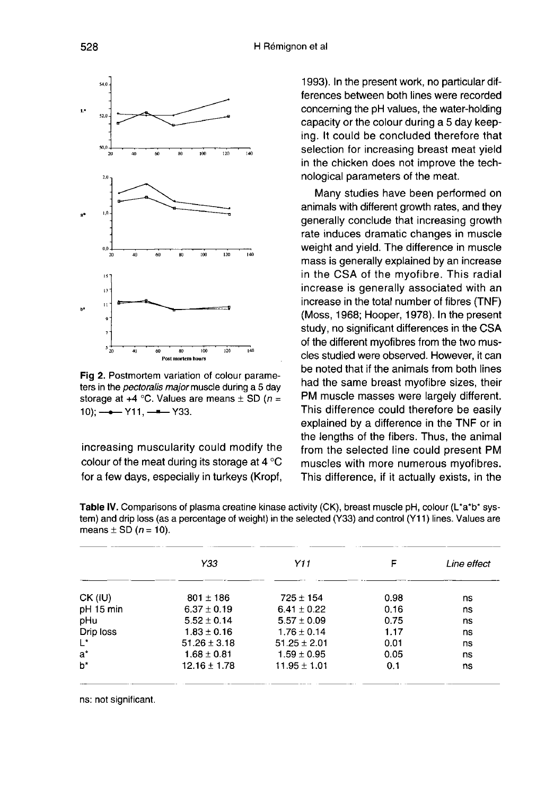

Fig 2. Postmortem variation of colour parameters in the *pectoralis major* muscle during a 5 day storage at +4 °C. Values are means  $\pm$  SD (n = 10);  $\longrightarrow$  Y11,  $\longrightarrow$  Y33.

increasing muscularity could modify the colour of the meat during its storage at 4 °C for a few days, especially in turkeys (Kropf,

1993). In the present work, no particular differences between both lines were recorded concerning the pH values, the water-holding capacity or the colour during a 5 day keeping. It could be concluded therefore that selection for increasing breast meat yield in the chicken does not improve the technological parameters of the meat.

Many studies have been performed on animals with different growth rates, and they generally conclude that increasing growth rate induces dramatic changes in muscle weight and yield. The difference in muscle mass is generally explained by an increase in the CSA of the myofibre. This radial increase is generally associated with an increase in the total number of fibres (TNF) (Moss, 1968; Hooper, 1978). In the present study, no significant differences in the CSA of the different myofibres from the two muscles studied were observed. However, it can be noted that if the animals from both lines had the same breast myofibre sizes, their PM muscle masses were largely different. This difference could therefore be easily explained by a difference in the TNF or in the lengths of the fibers. Thus, the animal from the selected line could present PM muscles with more numerous myofibres. This difference, if it actually exists, in the

|           | Y33              | Y11              |      | Line effect |
|-----------|------------------|------------------|------|-------------|
| $CK$ (IU) | $801 \pm 186$    | $725 \pm 154$    | 0.98 | ns          |
| pH 15 min | $6.37 \pm 0.19$  | $6.41 \pm 0.22$  | 0.16 | ns          |
| pHu       | $5.52 \pm 0.14$  | $5.57 \pm 0.09$  | 0.75 | ns          |
| Drip loss | $1.83 \pm 0.16$  | $1.76 \pm 0.14$  | 1.17 | ns          |
| Ľ         | $51.26 \pm 3.18$ | $51.25 \pm 2.01$ | 0.01 | ns          |
| $a^*$     | $1.68 \pm 0.81$  | $1.59 \pm 0.95$  | 0.05 | ns          |
| b*        | $12.16 \pm 1.78$ | $11.95 \pm 1.01$ | 0.1  | ns          |

Table IV. Comparisons of plasma creatine kinase activity (CK), breast muscle pH, colour (L\*a\*b\* system) and drip loss (as a percentage of weight) in the selected (Y33) and control (Y11) lines. Values are means  $\pm$  SD ( $n = 10$ ).

ns: not significant.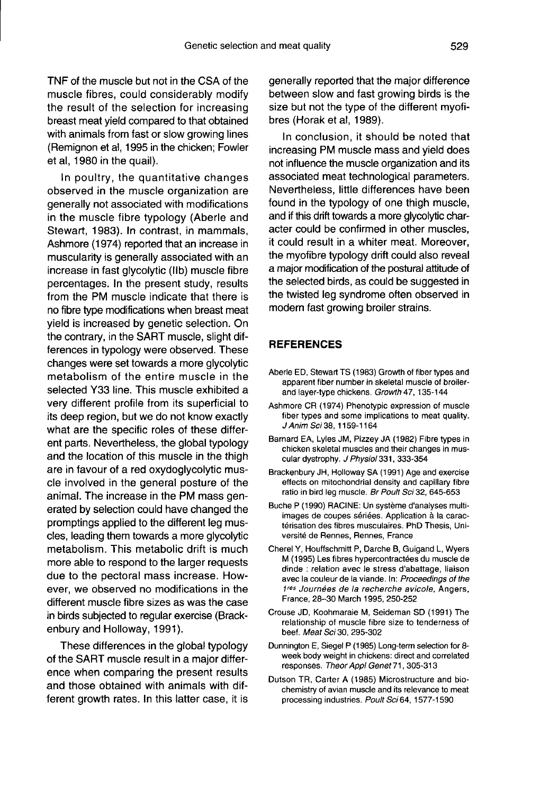TNF of the muscle but not in the CSA of the muscle fibres, could considerably modify the result of the selection for increasing breast meat yield compared to that obtained with animals from fast or slow growing lines (Remignon et al, 1995 in the chicken; Fowler et al, 1980 in the quail).

In poultry, the quantitative changes observed in the muscle organization are generally not associated with modifications in the muscle fibre typology (Aberle and Stewart, 1983). In contrast, in mammals, Ashmore (1974) reported that an increase in muscularity is generally associated with an increase in fast glycolytic (Ilb) muscle fibre percentages. In the present study, results from the PM muscle indicate that there is no fibre type modifications when breast meat yield is increased by genetic selection. On the contrary, in the SART muscle, slight differences in typology were observed. These changes were set towards a more glycolytic metabolism of the entire muscle in the selected Y33 line. This muscle exhibited a very different profile from its superficial to its deep region, but we do not know exactly what are the specific roles of these different parts. Nevertheless, the global typology and the location of this muscle in the thigh are in favour of a red oxydoglycolytic muscle involved in the general posture of the animal. The increase in the PM mass generated by selection could have changed the promptings applied to the different leg muscles, leading them towards a more glycolytic metabolism. This metabolic drift is much more able to respond to the larger requests due to the pectoral mass increase. However, we observed no modifications in the different muscle fibre sizes as was the case in birds subjected to regular exercise (Brackenbury and Holloway, 1991).

These differences in the global typology of the SART muscle result in a major difference when comparing the present results and those obtained with animals with different growth rates. In this latter case, it is

generally reported that the major difference between slow and fast growing birds is the size but not the type of the different myofibres (Horak et al, 1989).

In conclusion, it should be noted that increasing PM muscle mass and yield does not influence the muscle organization and its associated meat technological parameters. Nevertheless, little differences have been found in the typology of one thigh muscle, and if this drift towards a more glycolytic character could be confirmed in other muscles, it could result in a whiter meat. Moreover, the myofibre typology drift could also reveal a major modification of the postural attitude of the selected birds, as could be suggested in the twisted leg syndrome often observed in modern fast growing broiler strains.

#### REFERENCES

- Aberle ED, Stewart TS (1983) Growth of fiber types and apparent fiber number in skeletal muscle of broilerand layer-type chickens. Growth 47, 135-144
- Ashmore CR (1974) Phenotypic expression of muscle fiber types and some implications to meat quality. J Anim Sci 38, 1159-1164
- Barnard EA, Lyles JM, Pizzey JA (1982) Fibre types in chicken skeletal muscles and their changes in muscular dystrophy. J Physiol 331, 333-354
- Brackenbury JH, Holloway SA (1991) Age and exercise effects on mitochondrial density and capillary fibre ratio in bird leg muscle. Br Poult Sci 32, 645-653
- Buche P (1990) RACINE: Un système d'analyses multiimages de coupes sériées. Application à la caractérisation des fibres musculaires. PhD Thesis, Université de Rennes, Rennes, France
- Cherel Y, Houffschmitt P, Darche B, Guigand L, Wyers M (1995) Les fibres hypercontractdes du muscle de dinde : relation avec le stress d'abattage, liaison avec la couleur de la viande. In: Proceedings of the 1<sup>res</sup> Journées de la recherche avicole, Angers, France, 28-30 March 1995, 250-252
- Crouse JD, Koohmaraie M, Seideman SD (1991) The relationship of muscle fibre size to tenderness of beef. Meat Sci 30, 295-302
- Dunnington E, Siegel P (1985) Long-term selection for 8 week body weight in chickens: direct and correlated responses. Theor Appl Genet 71, 305-313
- Dutson TR, Carter A (1985) Microstructure and biochemistry of avian muscle and its relevance to meat processing industries. Poult Sci 64, 1577-1590